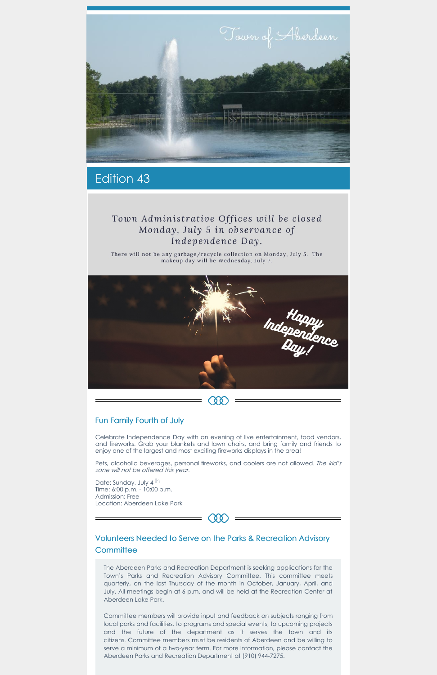

## Edition 43

## Town Administrative Offices will be closed Monday, July 5 in observance of Independence Day.

There will not be any garbage/recycle collection on Monday, July 5. The makeup day will be Wednesday, July 7.



#### Fun Family Fourth of July

Celebrate Independence Day with an evening of live entertainment, food vendors, and fireworks. Grab your blankets and lawn chairs, and bring family and friends to enjoy one of the largest and most exciting fireworks displays in the area!

Pets, alcoholic beverages, personal fireworks, and coolers are not allowed. The kid's zone will not be offered this year.

Date: Sunday, July 4<sup>th</sup> Time: 6:00 p.m. - 10:00 p.m. Admission: Free Location: Aberdeen Lake Park

### Volunteers Needed to Serve on the Parks & Recreation Advisory **Committee**

**C Q Q** 

The Aberdeen Parks and Recreation Department is seeking applications for the Town's Parks and Recreation Advisory Committee. This committee meets quarterly, on the last Thursday of the month in October, January, April, and July. All meetings begin at 6 p.m. and will be held at the Recreation Center at Aberdeen Lake Park.

Committee members will provide input and feedback on subjects ranging from local parks and facilities, to programs and special events, to upcoming projects and the future of the department as it serves the town and its citizens. Committee members must be residents of Aberdeen and be willing to serve a minimum of a two-year term. For more information, please contact the Aberdeen Parks and Recreation Department at (910) 944-7275.